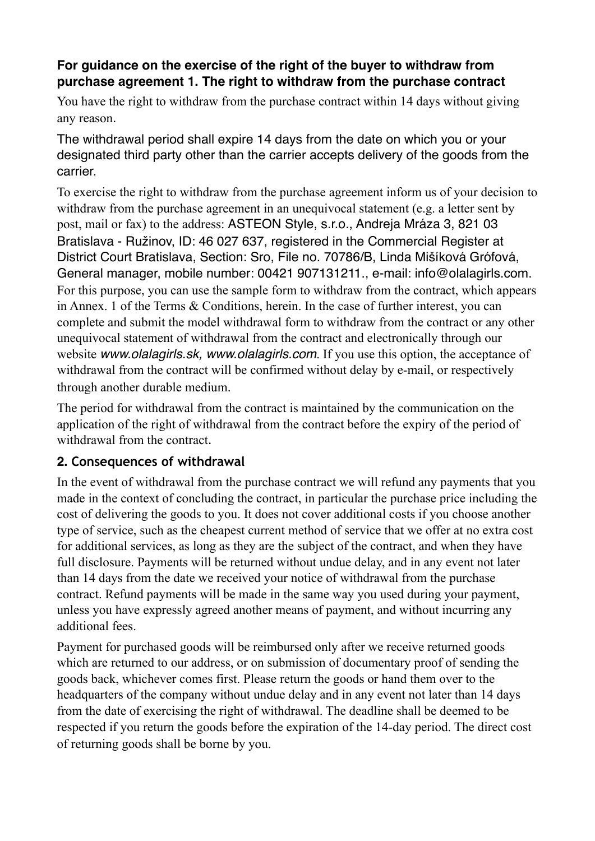## **For guidance on the exercise of the right of the buyer to withdraw from purchase agreement 1. The right to withdraw from the purchase contract**

You have the right to withdraw from the purchase contract within 14 days without giving any reason.

The withdrawal period shall expire 14 days from the date on which you or your designated third party other than the carrier accepts delivery of the goods from the carrier.

To exercise the right to withdraw from the purchase agreement inform us of your decision to withdraw from the purchase agreement in an unequivocal statement (e.g. a letter sent by post, mail or fax) to the address: ASTEON Style, s.r.o., Andreja Mráza 3, 821 03 Bratislava - Ružinov, ID: 46 027 637, registered in the Commercial Register at District Court Bratislava, Section: Sro, File no. 70786/B, Linda Mišíková Grófová, General manager, mobile number: 00421 907131211., e-mail: info@olalagirls.com. For this purpose, you can use the sample form to withdraw from the contract, which appears in Annex. 1 of the Terms & Conditions, herein. In the case of further interest, you can complete and submit the model withdrawal form to withdraw from the contract or any other unequivocal statement of withdrawal from the contract and electronically through our website *www.olalagirls.sk, www.olalagirls.com*. If you use this option, the acceptance of withdrawal from the contract will be confirmed without delay by e-mail, or respectively through another durable medium.

The period for withdrawal from the contract is maintained by the communication on the application of the right of withdrawal from the contract before the expiry of the period of withdrawal from the contract.

## **2. Consequences of withdrawal**

In the event of withdrawal from the purchase contract we will refund any payments that you made in the context of concluding the contract, in particular the purchase price including the cost of delivering the goods to you. It does not cover additional costs if you choose another type of service, such as the cheapest current method of service that we offer at no extra cost for additional services, as long as they are the subject of the contract, and when they have full disclosure. Payments will be returned without undue delay, and in any event not later than 14 days from the date we received your notice of withdrawal from the purchase contract. Refund payments will be made in the same way you used during your payment, unless you have expressly agreed another means of payment, and without incurring any additional fees.

Payment for purchased goods will be reimbursed only after we receive returned goods which are returned to our address, or on submission of documentary proof of sending the goods back, whichever comes first. Please return the goods or hand them over to the headquarters of the company without undue delay and in any event not later than 14 days from the date of exercising the right of withdrawal. The deadline shall be deemed to be respected if you return the goods before the expiration of the 14-day period. The direct cost of returning goods shall be borne by you.